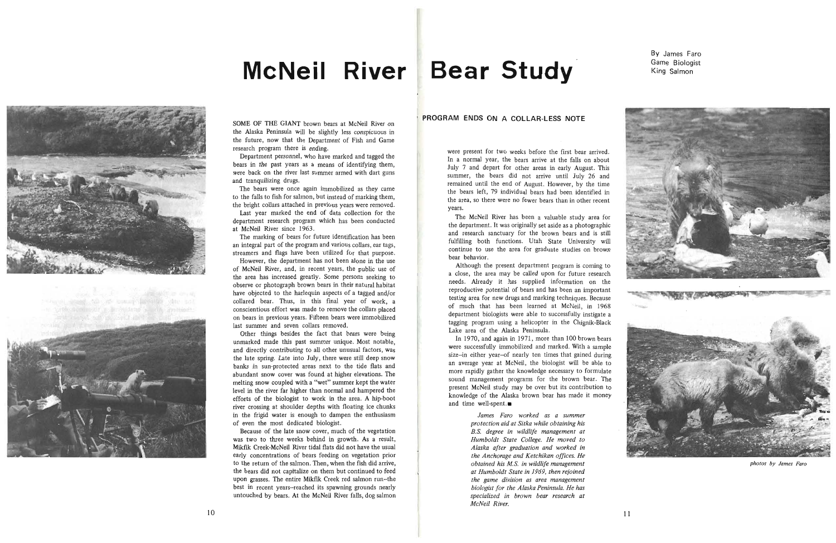## **McNeil River Bear Study Came Biologist**



three deads on the county landings who can distal advanced in a



,

SOME OF THE GIANT brown bears at McNeil River on the Alaska Peninsula will be slightly less conspicuous in the future, now that the Department of Fish and Game research program there is ending.

Department personnel, who have marked and tagged the bears in the past years as a means of identifying them, were back on the river last summer armed with dart guns and tranquilizing drugs.

Last year marked the end of data collection for the department research program which has been conducted at McNeil River since 1963.

The bears were once again immobilized as they came to the falls to fish for salmon, but instead of marking them, the bright collars attached in previous years were removed.

The marking of bears for future identification has been an integral part of the program and various collars, ear tags, streamers and flags have been utilized for that purpose.

However, the department has not been alone in the use of McNeil River, and, in recent years, the public use of the area has increased greatly. Some persons seeking to observe or photograph brown bears in their natural habitat have objected to the harlequin aspects of a tagged and/or collared bear. Thus, in this final year of work, a conscientious effort was made to remove the collars placed on bears in previous years. Fifteen bears were immobilized last summer and seven collars removed.

Although the present department program is coming to a close, the area may be called upon for future research needs. Already it has supplied information on the reproductive potential of bears and has been an important testing area for new drugs and marking techniques . Because of much that has been learned at McNeil, in 1968 department biologists were able to successfully instigate a tagging program using a helicopter in the Chignik-Black Lake area of the Alaska Peninsula.

Other things besides the fact that bears were being unmarked made this past summer unique. Most notable, and directly contributing to all other unusual factors, was the late spring. late into July, there were still deep snow banks in sun-protected areas next to the tide flats and abundant snow cover was found at higher elevations. The melting snow coupled with a "wet" summer kept the water level in the river far higher than normal and hampered the efforts of the biologist to work in the area. A hip-boot river crossing at shoulder depths with floating ice chunks in the frigid water is enough to dampen the enthusiasm of even the most dedicated biologist.

In 1970, and again in 1971, more than 100 brown bears were successfully immobilized and marked. With a sample size-in either year-of nearly ten times that gained during an average year at McNeil, the biologist will be able to more rapidly gather the knowledge necessary to formulate sound management programs for the brown bear. The present McNeil study may be over but its contribution to knowledge of the Alaska brown bear has made it money and time well-spent. $\blacksquare$ 

Because of the late snow cover, much of the vegetation was two to three weeks behind in growth. As a result, Mikfik Creek-McNeil River tidal flats did not have the usual early concentrations of bears feeding on vegetation prior to the return of the salmon. Then, when the fish did arrive, the bears did not capitalize on them but continued to feed upon grasses. The entire Mikfik Creek red salmon run-the best in recent years--reached its spawning grounds nearly untouched by bears. At the McNeil River falls, dog salmon

By James Faro

## **PROGRAM ENDS ON A COLLAR-LESS NOTE**

were present for two weeks before the first bear arrived. In a normal year, the bears arrive at the falls on about July 7 and depart for other areas in early August. This summer, the bears did not arrive until July 26 and remained until the end of August. However, by the time the bears left, 79 individual bears had been identified in the area, so there were no fewer bears than in other recent years.

The McNeil River has been a valuable study area for the department. It was originally set aside as a photographic and research sanctuary for the brown bears and is still fulfilling both functions. Utah State University will continue to use the area for graduate studies on brown bear beha vior,

> *James Faro worked as a summer protection aid at Sitka while obtaining his B.S. degree in wildlife management at Humboldt State College. He moved to Alaska after graduation and worked in the Anchorage and Ketchikan offices. He obtained his M.S. in wildlife management at Humboldt State in* 1969, *then rejoined the game division as area management biologist for the Alaska Peninsula. He has specialized in brown bear research at McNeil River.*



*photos by James Faro*